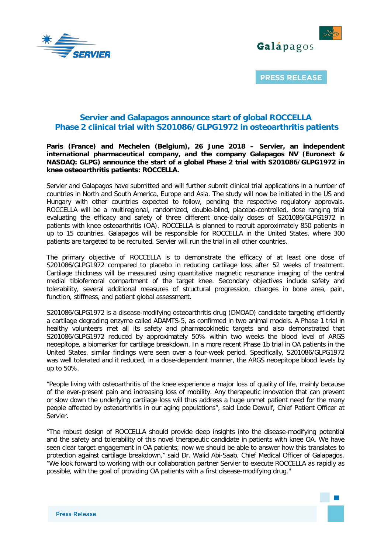



# **Servier and Galapagos announce start of global ROCCELLA Phase 2 clinical trial with S201086/GLPG1972 in osteoarthritis patients**

# **Paris (France) and Mechelen (Belgium), 26 June 2018 – Servier, an independent international pharmaceutical company, and the company Galapagos NV (Euronext & NASDAQ: GLPG) announce the start of a global Phase 2 trial with S201086/GLPG1972 in knee osteoarthritis patients: ROCCELLA.**

Servier and Galapagos have submitted and will further submit clinical trial applications in a number of countries in North and South America, Europe and Asia. The study will now be initiated in the US and Hungary with other countries expected to follow, pending the respective regulatory approvals. ROCCELLA will be a multiregional, randomized, double-blind, placebo-controlled, dose ranging trial evaluating the efficacy and safety of three different once-daily doses of S201086/GLPG1972 in patients with knee osteoarthritis (OA). ROCCELLA is planned to recruit approximately 850 patients in up to 15 countries. Galapagos will be responsible for ROCCELLA in the United States, where 300 patients are targeted to be recruited. Servier will run the trial in all other countries.

The primary objective of ROCCELLA is to demonstrate the efficacy of at least one dose of S201086/GLPG1972 compared to placebo in reducing cartilage loss after 52 weeks of treatment. Cartilage thickness will be measured using quantitative magnetic resonance imaging of the central medial tibiofemoral compartment of the target knee. Secondary objectives include safety and tolerability, several additional measures of structural progression, changes in bone area, pain, function, stiffness, and patient global assessment.

S201086/GLPG1972 is a disease-modifying osteoarthritis drug (DMOAD) candidate targeting efficiently a cartilage degrading enzyme called ADAMTS-5, as confirmed in two animal models. A Phase 1 trial in healthy volunteers met all its safety and pharmacokinetic targets and also demonstrated that S201086/GLPG1972 reduced by approximately 50% within two weeks the blood level of ARGS neoepitope, a biomarker for cartilage breakdown. In a more recent Phase 1b trial in OA patients in the United States, similar findings were seen over a four-week period. Specifically, S201086/GLPG1972 was well tolerated and it reduced, in a dose-dependent manner, the ARGS neoepitope blood levels by up to 50%.

"People living with osteoarthritis of the knee experience a major loss of quality of life, mainly because of the ever-present pain and increasing loss of mobility. Any therapeutic innovation that can prevent or slow down the underlying cartilage loss will thus address a huge unmet patient need for the many people affected by osteoarthritis in our aging populations", said Lode Dewulf, Chief Patient Officer at Servier.

"The robust design of ROCCELLA should provide deep insights into the disease-modifying potential and the safety and tolerability of this novel therapeutic candidate in patients with knee OA. We have seen clear target engagement in OA patients; now we should be able to answer how this translates to protection against cartilage breakdown," said Dr. Walid Abi-Saab, Chief Medical Officer of Galapagos. "We look forward to working with our collaboration partner Servier to execute ROCCELLA as rapidly as possible, with the goal of providing OA patients with a first disease-modifying drug."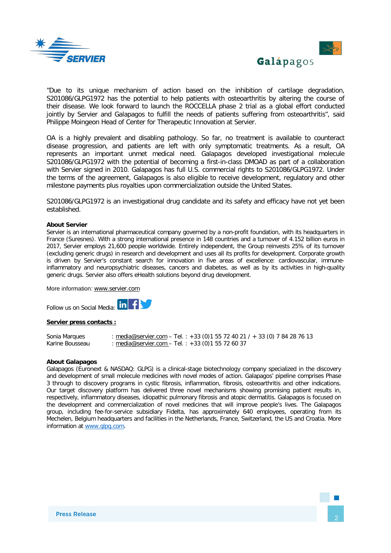



Galápagos

"Due to its unique mechanism of action based on the inhibition of cartilage degradation, S201086/GLPG1972 has the potential to help patients with osteoarthritis by altering the course of their disease. We look forward to launch the ROCCELLA phase 2 trial as a global effort conducted jointly by Servier and Galapagos to fulfill the needs of patients suffering from osteoarthritis", said Philippe Moingeon Head of Center for Therapeutic Innovation at Servier.

OA is a highly prevalent and disabling pathology. So far, no treatment is available to counteract disease progression, and patients are left with only symptomatic treatments. As a result, OA represents an important unmet medical need. Galapagos developed investigational molecule S201086/GLPG1972 with the potential of becoming a first-in-class DMOAD as part of a collaboration with Servier signed in 2010. Galapagos has full U.S. commercial rights to S201086/GLPG1972. Under the terms of the agreement, Galapagos is also eligible to receive development, regulatory and other milestone payments plus royalties upon commercialization outside the United States.

S201086/GLPG1972 is an investigational drug candidate and its safety and efficacy have not yet been established.

#### **About Servier**

Servier is an international pharmaceutical company governed by a non-profit foundation, with its headquarters in France (Suresnes). With a strong international presence in 148 countries and a turnover of 4.152 billion euros in 2017, Servier employs 21,600 people worldwide. Entirely independent, the Group reinvests 25% of its turnover (excluding generic drugs) in research and development and uses all its profits for development. Corporate growth is driven by Servier's constant search for innovation in five areas of excellence: cardiovascular, immuneinflammatory and neuropsychiatric diseases, cancers and diabetes, as well as by its activities in high-quality generic drugs. Servier also offers eHealth solutions beyond drug development.

More information: [www.servier.com](http://www.servier.com/)

Follow us on Social Media: **in Fig.** 

#### **Servier press contacts :**

Sonia Marques : [media@servier.com](mailto:media@servier.com) – Tel. : +33 (0) 1 55 72 40 21 / + 33 (0) 7 84 28 76 13<br>Karine Bousseau : media@servier.com – Tel. : +33 (0) 1 55 72 60 37 : [media@servier.com](mailto:media@servier.com) - Tel. : +33 (0)1 55 72 60 37

## **About Galapagos**

Galapagos (Euronext & NASDAQ: GLPG) is a clinical-stage biotechnology company specialized in the discovery and development of small molecule medicines with novel modes of action. Galapagos' pipeline comprises Phase 3 through to discovery programs in cystic fibrosis, inflammation, fibrosis, osteoarthritis and other indications. Our target discovery platform has delivered three novel mechanisms showing promising patient results in, respectively, inflammatory diseases, idiopathic pulmonary fibrosis and atopic dermatitis. Galapagos is focused on the development and commercialization of novel medicines that will improve people's lives. The Galapagos group, including fee-for-service subsidiary Fidelta, has approximately 640 employees, operating from its Mechelen, Belgium headquarters and facilities in the Netherlands, France, Switzerland, the US and Croatia. More information at [www.glpg.com.](http://www.glpg.com/)